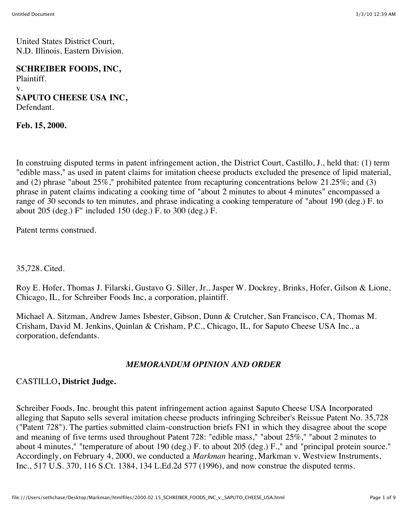United States District Court, N.D. Illinois, Eastern Division.

#### **SCHREIBER FOODS, INC,**

Plaintiff. v. **SAPUTO CHEESE USA INC,** Defendant.

**Feb. 15, 2000.**

In construing disputed terms in patent infringement action, the District Court, Castillo, J., held that: (1) term "edible mass," as used in patent claims for imitation cheese products excluded the presence of lipid material, and (2) phrase "about  $25\%$ ," prohibited patentee from recapturing concentrations below  $21.25\%$ ; and (3) phrase in patent claims indicating a cooking time of "about 2 minutes to about 4 minutes" encompassed a range of 30 seconds to ten minutes, and phrase indicating a cooking temperature of "about 190 (deg.) F. to about 205 (deg.) F" included 150 (deg.) F. to 300 (deg.) F.

Patent terms construed.

35,728. Cited.

Roy E. Hofer, Thomas J. Filarski, Gustavo G. Siller, Jr., Jasper W. Dockrey, Brinks, Hofer, Gilson & Lione, Chicago, IL, for Schreiber Foods Inc, a corporation, plaintiff.

Michael A. Sitzman, Andrew James Isbester, Gibson, Dunn & Crutcher, San Francisco, CA, Thomas M. Crisham, David M. Jenkins, Quinlan & Crisham, P.C., Chicago, IL, for Saputo Cheese USA Inc., a corporation, defendants.

#### *MEMORANDUM OPINION AND ORDER*

#### CASTILLO**, District Judge.**

Schreiber Foods, Inc. brought this patent infringement action against Saputo Cheese USA Incorporated alleging that Saputo sells several imitation cheese products infringing Schreiber's Reissue Patent No. 35,728 ("Patent 728"). The parties submitted claim-construction briefs FN1 in which they disagree about the scope and meaning of five terms used throughout Patent 728: "edible mass," "about 25%," "about 2 minutes to about 4 minutes," "temperature of about 190 (deg.) F. to about 205 (deg.) F.," and "principal protein source." Accordingly, on February 4, 2000, we conducted a *Markman* hearing, Markman v. Westview Instruments, Inc., 517 U.S. 370, 116 S.Ct. 1384, 134 L.Ed.2d 577 (1996), and now construe the disputed terms.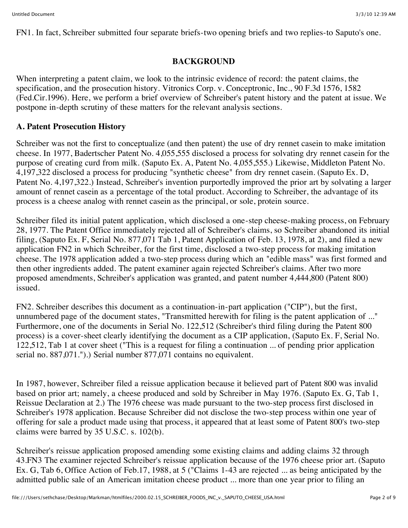FN1. In fact, Schreiber submitted four separate briefs-two opening briefs and two replies-to Saputo's one.

# **BACKGROUND**

When interpreting a patent claim, we look to the intrinsic evidence of record: the patent claims, the specification, and the prosecution history. Vitronics Corp. v. Conceptronic, Inc., 90 F.3d 1576, 1582 (Fed.Cir.1996). Here, we perform a brief overview of Schreiber's patent history and the patent at issue. We postpone in-depth scrutiny of these matters for the relevant analysis sections.

## **A. Patent Prosecution History**

Schreiber was not the first to conceptualize (and then patent) the use of dry rennet casein to make imitation cheese. In 1977, Badertscher Patent No. 4,055,555 disclosed a process for solvating dry rennet casein for the purpose of creating curd from milk. (Saputo Ex. A, Patent No. 4,055,555.) Likewise, Middleton Patent No. 4,197,322 disclosed a process for producing "synthetic cheese" from dry rennet casein. (Saputo Ex. D, Patent No. 4,197,322.) Instead, Schreiber's invention purportedly improved the prior art by solvating a larger amount of rennet casein as a percentage of the total product. According to Schreiber, the advantage of its process is a cheese analog with rennet casein as the principal, or sole, protein source.

Schreiber filed its initial patent application, which disclosed a one-step cheese-making process, on February 28, 1977. The Patent Office immediately rejected all of Schreiber's claims, so Schreiber abandoned its initial filing, (Saputo Ex. F, Serial No. 877,071 Tab 1, Patent Application of Feb. 13, 1978, at 2), and filed a new application FN2 in which Schreiber, for the first time, disclosed a two-step process for making imitation cheese. The 1978 application added a two-step process during which an "edible mass" was first formed and then other ingredients added. The patent examiner again rejected Schreiber's claims. After two more proposed amendments, Schreiber's application was granted, and patent number 4,444,800 (Patent 800) issued.

FN2. Schreiber describes this document as a continuation-in-part application ("CIP"), but the first, unnumbered page of the document states, "Transmitted herewith for filing is the patent application of ..." Furthermore, one of the documents in Serial No. 122,512 (Schreiber's third filing during the Patent 800 process) is a cover-sheet clearly identifying the document as a CIP application, (Saputo Ex. F, Serial No. 122,512, Tab 1 at cover sheet ("This is a request for filing a continuation ... of pending prior application serial no. 887,071.").) Serial number 877,071 contains no equivalent.

In 1987, however, Schreiber filed a reissue application because it believed part of Patent 800 was invalid based on prior art; namely, a cheese produced and sold by Schreiber in May 1976. (Saputo Ex. G, Tab 1, Reissue Declaration at 2.) The 1976 cheese was made pursuant to the two-step process first disclosed in Schreiber's 1978 application. Because Schreiber did not disclose the two-step process within one year of offering for sale a product made using that process, it appeared that at least some of Patent 800's two-step claims were barred by 35 U.S.C. s. 102(b).

Schreiber's reissue application proposed amending some existing claims and adding claims 32 through 43.FN3 The examiner rejected Schreiber's reissue application because of the 1976 cheese prior art. (Saputo Ex. G, Tab 6, Office Action of Feb.17, 1988, at 5 ("Claims 1-43 are rejected ... as being anticipated by the admitted public sale of an American imitation cheese product ... more than one year prior to filing an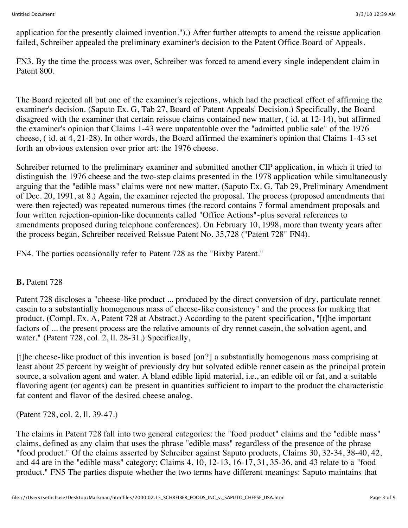application for the presently claimed invention.").) After further attempts to amend the reissue application failed, Schreiber appealed the preliminary examiner's decision to the Patent Office Board of Appeals.

FN3. By the time the process was over, Schreiber was forced to amend every single independent claim in Patent 800.

The Board rejected all but one of the examiner's rejections, which had the practical effect of affirming the examiner's decision. (Saputo Ex. G, Tab 27, Board of Patent Appeals' Decision.) Specifically, the Board disagreed with the examiner that certain reissue claims contained new matter, ( id. at 12-14), but affirmed the examiner's opinion that Claims 1-43 were unpatentable over the "admitted public sale" of the 1976 cheese, ( id. at 4, 21-28). In other words, the Board affirmed the examiner's opinion that Claims 1-43 set forth an obvious extension over prior art: the 1976 cheese.

Schreiber returned to the preliminary examiner and submitted another CIP application, in which it tried to distinguish the 1976 cheese and the two-step claims presented in the 1978 application while simultaneously arguing that the "edible mass" claims were not new matter. (Saputo Ex. G, Tab 29, Preliminary Amendment of Dec. 20, 1991, at 8.) Again, the examiner rejected the proposal. The process (proposed amendments that were then rejected) was repeated numerous times (the record contains 7 formal amendment proposals and four written rejection-opinion-like documents called "Office Actions"-plus several references to amendments proposed during telephone conferences). On February 10, 1998, more than twenty years after the process began, Schreiber received Reissue Patent No. 35,728 ("Patent 728" FN4).

FN4. The parties occasionally refer to Patent 728 as the "Bixby Patent."

#### **B.** Patent 728

Patent 728 discloses a "cheese-like product ... produced by the direct conversion of dry, particulate rennet casein to a substantially homogenous mass of cheese-like consistency" and the process for making that product. (Compl. Ex. A, Patent 728 at Abstract.) According to the patent specification, "[t]he important factors of ... the present process are the relative amounts of dry rennet casein, the solvation agent, and water." (Patent 728, col. 2, ll. 28-31.) Specifically,

[t]he cheese-like product of this invention is based [on?] a substantially homogenous mass comprising at least about 25 percent by weight of previously dry but solvated edible rennet casein as the principal protein source, a solvation agent and water. A bland edible lipid material, i.e., an edible oil or fat, and a suitable flavoring agent (or agents) can be present in quantities sufficient to impart to the product the characteristic fat content and flavor of the desired cheese analog.

(Patent 728, col. 2, ll. 39-47.)

The claims in Patent 728 fall into two general categories: the "food product" claims and the "edible mass" claims, defined as any claim that uses the phrase "edible mass" regardless of the presence of the phrase "food product." Of the claims asserted by Schreiber against Saputo products, Claims 30, 32-34, 38-40, 42, and 44 are in the "edible mass" category; Claims 4, 10, 12-13, 16-17, 31, 35-36, and 43 relate to a "food product." FN5 The parties dispute whether the two terms have different meanings: Saputo maintains that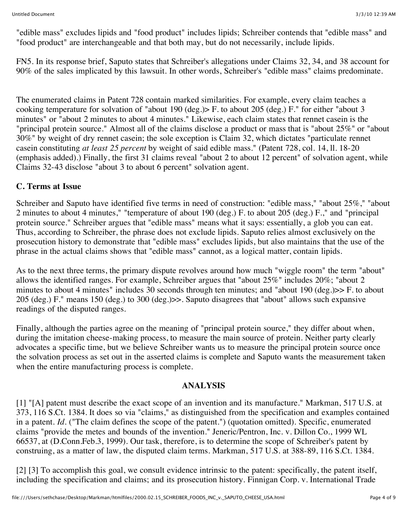"edible mass" excludes lipids and "food product" includes lipids; Schreiber contends that "edible mass" and "food product" are interchangeable and that both may, but do not necessarily, include lipids.

FN5. In its response brief, Saputo states that Schreiber's allegations under Claims 32, 34, and 38 account for 90% of the sales implicated by this lawsuit. In other words, Schreiber's "edible mass" claims predominate.

The enumerated claims in Patent 728 contain marked similarities. For example, every claim teaches a cooking temperature for solvation of "about 190 (deg.)> F. to about 205 (deg.) F." for either "about 3 minutes" or "about 2 minutes to about 4 minutes." Likewise, each claim states that rennet casein is the "principal protein source." Almost all of the claims disclose a product or mass that is "about 25%" or "about 30%" by weight of dry rennet casein; the sole exception is Claim 32, which dictates "particulate rennet casein constituting *at least 25 percent* by weight of said edible mass." (Patent 728, col. 14, ll. 18-20 (emphasis added).) Finally, the first 31 claims reveal "about 2 to about 12 percent" of solvation agent, while Claims 32-43 disclose "about 3 to about 6 percent" solvation agent.

### **C. Terms at Issue**

Schreiber and Saputo have identified five terms in need of construction: "edible mass," "about 25%," "about 2 minutes to about 4 minutes," "temperature of about 190 (deg.) F. to about 205 (deg.) F.," and "principal protein source." Schreiber argues that "edible mass" means what it says: essentially, a glob you can eat. Thus, according to Schreiber, the phrase does not exclude lipids. Saputo relies almost exclusively on the prosecution history to demonstrate that "edible mass" excludes lipids, but also maintains that the use of the phrase in the actual claims shows that "edible mass" cannot, as a logical matter, contain lipids.

As to the next three terms, the primary dispute revolves around how much "wiggle room" the term "about" allows the identified ranges. For example, Schreiber argues that "about 25%" includes 20%; "about 2 minutes to about 4 minutes" includes 30 seconds through ten minutes; and "about 190 (deg.)>> F. to about 205 (deg.) F." means 150 (deg.) to 300 (deg.)>>. Saputo disagrees that "about" allows such expansive readings of the disputed ranges.

Finally, although the parties agree on the meaning of "principal protein source," they differ about when, during the imitation cheese-making process, to measure the main source of protein. Neither party clearly advocates a specific time, but we believe Schreiber wants us to measure the principal protein source once the solvation process as set out in the asserted claims is complete and Saputo wants the measurement taken when the entire manufacturing process is complete.

## **ANALYSIS**

[1] "[A] patent must describe the exact scope of an invention and its manufacture." Markman, 517 U.S. at 373, 116 S.Ct. 1384. It does so via "claims," as distinguished from the specification and examples contained in a patent. *Id.* ("The claim defines the scope of the patent.") (quotation omitted). Specific, enumerated claims "provide the metes and bounds of the invention." Jeneric/Pentron, Inc. v. Dillon Co., 1999 WL 66537, at (D.Conn.Feb.3, 1999). Our task, therefore, is to determine the scope of Schreiber's patent by construing, as a matter of law, the disputed claim terms. Markman, 517 U.S. at 388-89, 116 S.Ct. 1384.

[2] [3] To accomplish this goal, we consult evidence intrinsic to the patent: specifically, the patent itself, including the specification and claims; and its prosecution history. Finnigan Corp. v. International Trade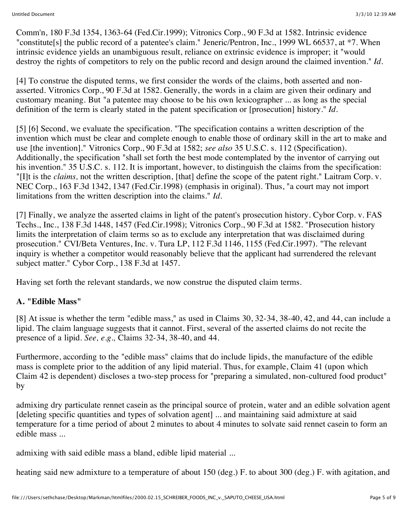Comm'n, 180 F.3d 1354, 1363-64 (Fed.Cir.1999); Vitronics Corp., 90 F.3d at 1582. Intrinsic evidence "constitute[s] the public record of a patentee's claim." Jeneric/Pentron, Inc., 1999 WL 66537, at \*7. When intrinsic evidence yields an unambiguous result, reliance on extrinsic evidence is improper; it "would destroy the rights of competitors to rely on the public record and design around the claimed invention." *Id.*

[4] To construe the disputed terms, we first consider the words of the claims, both asserted and nonasserted. Vitronics Corp., 90 F.3d at 1582. Generally, the words in a claim are given their ordinary and customary meaning. But "a patentee may choose to be his own lexicographer ... as long as the special definition of the term is clearly stated in the patent specification or [prosecution] history." *Id.*

[5] [6] Second, we evaluate the specification. "The specification contains a written description of the invention which must be clear and complete enough to enable those of ordinary skill in the art to make and use [the invention]." Vitronics Corp., 90 F.3d at 1582; *see also* 35 U.S.C. s. 112 (Specification). Additionally, the specification "shall set forth the best mode contemplated by the inventor of carrying out his invention." 35 U.S.C. s. 112. It is important, however, to distinguish the claims from the specification: "[I]t is the *claims,* not the written description, [that] define the scope of the patent right." Laitram Corp. v. NEC Corp., 163 F.3d 1342, 1347 (Fed.Cir.1998) (emphasis in original). Thus, "a court may not import limitations from the written description into the claims." *Id.*

[7] Finally, we analyze the asserted claims in light of the patent's prosecution history. Cybor Corp. v. FAS Techs., Inc., 138 F.3d 1448, 1457 (Fed.Cir.1998); Vitronics Corp., 90 F.3d at 1582. "Prosecution history limits the interpretation of claim terms so as to exclude any interpretation that was disclaimed during prosecution." CVI/Beta Ventures, Inc. v. Tura LP, 112 F.3d 1146, 1155 (Fed.Cir.1997). "The relevant inquiry is whether a competitor would reasonably believe that the applicant had surrendered the relevant subject matter." Cybor Corp., 138 F.3d at 1457.

Having set forth the relevant standards, we now construe the disputed claim terms.

# **A. "Edible Mass"**

[8] At issue is whether the term "edible mass," as used in Claims 30, 32-34, 38-40, 42, and 44, can include a lipid. The claim language suggests that it cannot. First, several of the asserted claims do not recite the presence of a lipid. *See, e.g.,* Claims 32-34, 38-40, and 44.

Furthermore, according to the "edible mass" claims that do include lipids, the manufacture of the edible mass is complete prior to the addition of any lipid material. Thus, for example, Claim 41 (upon which Claim 42 is dependent) discloses a two-step process for "preparing a simulated, non-cultured food product" by

admixing dry particulate rennet casein as the principal source of protein, water and an edible solvation agent [deleting specific quantities and types of solvation agent] ... and maintaining said admixture at said temperature for a time period of about 2 minutes to about 4 minutes to solvate said rennet casein to form an edible mass ...

admixing with said edible mass a bland, edible lipid material ...

heating said new admixture to a temperature of about 150 (deg.) F. to about 300 (deg.) F. with agitation, and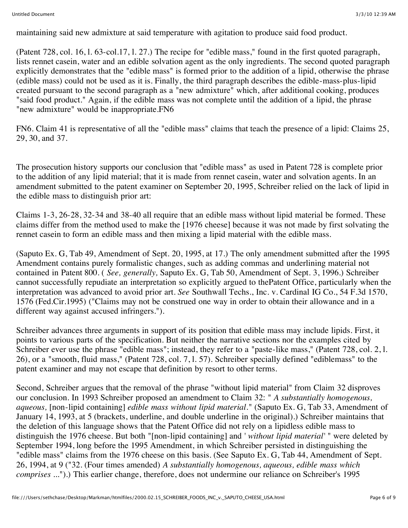maintaining said new admixture at said temperature with agitation to produce said food product.

(Patent 728, col. 16, l. 63-col.17, l. 27.) The recipe for "edible mass," found in the first quoted paragraph, lists rennet casein, water and an edible solvation agent as the only ingredients. The second quoted paragraph explicitly demonstrates that the "edible mass" is formed prior to the addition of a lipid, otherwise the phrase (edible mass) could not be used as it is. Finally, the third paragraph describes the edible-mass-plus-lipid created pursuant to the second paragraph as a "new admixture" which, after additional cooking, produces "said food product." Again, if the edible mass was not complete until the addition of a lipid, the phrase "new admixture" would be inappropriate.FN6

FN6. Claim 41 is representative of all the "edible mass" claims that teach the presence of a lipid: Claims 25, 29, 30, and 37.

The prosecution history supports our conclusion that "edible mass" as used in Patent 728 is complete prior to the addition of any lipid material; that it is made from rennet casein, water and solvation agents. In an amendment submitted to the patent examiner on September 20, 1995, Schreiber relied on the lack of lipid in the edible mass to distinguish prior art:

Claims 1-3, 26-28, 32-34 and 38-40 all require that an edible mass without lipid material be formed. These claims differ from the method used to make the [1976 cheese] because it was not made by first solvating the rennet casein to form an edible mass and then mixing a lipid material with the edible mass.

(Saputo Ex. G, Tab 49, Amendment of Sept. 20, 1995, at 17.) The only amendment submitted after the 1995 Amendment contains purely formalistic changes, such as adding commas and underlining material not contained in Patent 800. ( *See, generally,* Saputo Ex. G, Tab 50, Amendment of Sept. 3, 1996.) Schreiber cannot successfully repudiate an interpretation so explicitly argued to thePatent Office, particularly when the interpretation was advanced to avoid prior art. *See* Southwall Techs., Inc. v. Cardinal IG Co., 54 F.3d 1570, 1576 (Fed.Cir.1995) ("Claims may not be construed one way in order to obtain their allowance and in a different way against accused infringers.").

Schreiber advances three arguments in support of its position that edible mass may include lipids. First, it points to various parts of the specification. But neither the narrative sections nor the examples cited by Schreiber ever use the phrase "edible mass"; instead, they refer to a "paste-like mass," (Patent 728, col. 2, l. 26), or a "smooth, fluid mass," (Patent 728, col. 7, l. 57). Schreiber specially defined "ediblemass" to the patent examiner and may not escape that definition by resort to other terms.

Second, Schreiber argues that the removal of the phrase "without lipid material" from Claim 32 disproves our conclusion. In 1993 Schreiber proposed an amendment to Claim 32: " *A substantially homogenous, aqueous,* [non-lipid containing] *edible mass without lipid material.*" (Saputo Ex. G, Tab 33, Amendment of January 14, 1993, at 5 (brackets, underline, and double underline in the original).) Schreiber maintains that the deletion of this language shows that the Patent Office did not rely on a lipidless edible mass to distinguish the 1976 cheese. But both "[non-lipid containing] and ' *without lipid material'* " were deleted by September 1994, long before the 1995 Amendment, in which Schreiber persisted in distinguishing the "edible mass" claims from the 1976 cheese on this basis. (See Saputo Ex. G, Tab 44, Amendment of Sept. 26, 1994, at 9 ("32. (Four times amended) *A substantially homogenous, aqueous, edible mass which comprises ...*").) This earlier change, therefore, does not undermine our reliance on Schreiber's 1995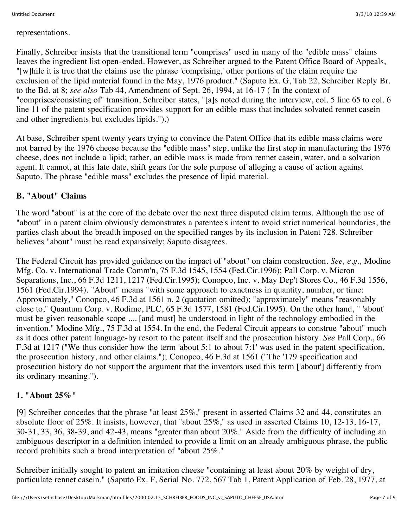representations.

Finally, Schreiber insists that the transitional term "comprises" used in many of the "edible mass" claims leaves the ingredient list open-ended. However, as Schreiber argued to the Patent Office Board of Appeals, "[w]hile it is true that the claims use the phrase 'comprising,' other portions of the claim require the exclusion of the lipid material found in the May, 1976 product." (Saputo Ex. G, Tab 22, Schreiber Reply Br. to the Bd. at 8; *see also* Tab 44, Amendment of Sept. 26, 1994, at 16-17 ( In the context of "comprises/consisting of" transition, Schreiber states, "[a]s noted during the interview, col. 5 line 65 to col. 6 line 11 of the patent specification provides support for an edible mass that includes solvated rennet casein and other ingredients but excludes lipids.").)

At base, Schreiber spent twenty years trying to convince the Patent Office that its edible mass claims were not barred by the 1976 cheese because the "edible mass" step, unlike the first step in manufacturing the 1976 cheese, does not include a lipid; rather, an edible mass is made from rennet casein, water, and a solvation agent. It cannot, at this late date, shift gears for the sole purpose of alleging a cause of action against Saputo. The phrase "edible mass" excludes the presence of lipid material.

#### **B. "About" Claims**

The word "about" is at the core of the debate over the next three disputed claim terms. Although the use of "about" in a patent claim obviously demonstrates a patentee's intent to avoid strict numerical boundaries, the parties clash about the breadth imposed on the specified ranges by its inclusion in Patent 728. Schreiber believes "about" must be read expansively; Saputo disagrees.

The Federal Circuit has provided guidance on the impact of "about" on claim construction. *See, e.g.,* Modine Mfg. Co. v. International Trade Comm'n, 75 F.3d 1545, 1554 (Fed.Cir.1996); Pall Corp. v. Micron Separations, Inc., 66 F.3d 1211, 1217 (Fed.Cir.1995); Conopco, Inc. v. May Dep't Stores Co., 46 F.3d 1556, 1561 (Fed.Cir.1994). "About" means "with some approach to exactness in quantity, number, or time: Approximately," Conopco, 46 F.3d at 1561 n. 2 (quotation omitted); "approximately" means "reasonably close to," Quantum Corp. v. Rodime, PLC, 65 F.3d 1577, 1581 (Fed.Cir.1995). On the other hand, " 'about' must be given reasonable scope .... [and must] be understood in light of the technology embodied in the invention." Modine Mfg., 75 F.3d at 1554. In the end, the Federal Circuit appears to construe "about" much as it does other patent language-by resort to the patent itself and the prosecution history. *See* Pall Corp., 66 F.3d at 1217 ("We thus consider how the term 'about 5:1 to about 7:1' was used in the patent specification, the prosecution history, and other claims."); Conopco, 46 F.3d at 1561 ("The '179 specification and prosecution history do not support the argument that the inventors used this term ['about'] differently from its ordinary meaning.").

#### **1. "About 25%"**

[9] Schreiber concedes that the phrase "at least 25%," present in asserted Claims 32 and 44, constitutes an absolute floor of 25%. It insists, however, that "about 25%," as used in asserted Claims 10, 12-13, 16-17, 30-31, 33, 36, 38-39, and 42-43, means "greater than about 20%." Aside from the difficulty of including an ambiguous descriptor in a definition intended to provide a limit on an already ambiguous phrase, the public record prohibits such a broad interpretation of "about 25%."

Schreiber initially sought to patent an imitation cheese "containing at least about 20% by weight of dry, particulate rennet casein." (Saputo Ex. F, Serial No. 772, 567 Tab 1, Patent Application of Feb. 28, 1977, at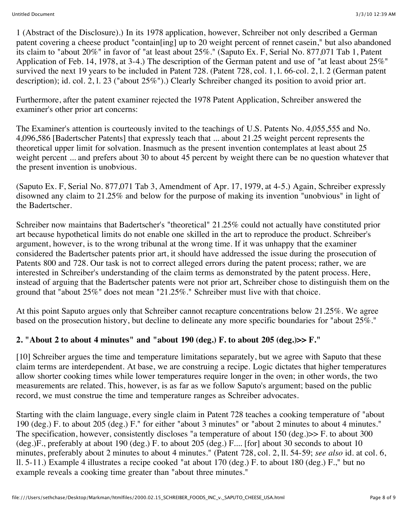1 (Abstract of the Disclosure).) In its 1978 application, however, Schreiber not only described a German patent covering a cheese product "contain[ing] up to 20 weight percent of rennet casein," but also abandoned its claim to "about 20%" in favor of "at least about 25%." (Saputo Ex. F, Serial No. 877,071 Tab 1, Patent Application of Feb. 14, 1978, at 3-4.) The description of the German patent and use of "at least about 25%" survived the next 19 years to be included in Patent 728. (Patent 728, col. 1, l. 66-col. 2, l. 2 (German patent description); id. col. 2, l. 23 ("about 25%").) Clearly Schreiber changed its position to avoid prior art.

Furthermore, after the patent examiner rejected the 1978 Patent Application, Schreiber answered the examiner's other prior art concerns:

The Examiner's attention is courteously invited to the teachings of U.S. Patents No. 4,055,555 and No. 4,096,586 [Badertscher Patents] that expressly teach that ... about 21.25 weight percent represents the theoretical upper limit for solvation. Inasmuch as the present invention contemplates at least about 25 weight percent ... and prefers about 30 to about 45 percent by weight there can be no question whatever that the present invention is unobvious.

(Saputo Ex. F, Serial No. 877,071 Tab 3, Amendment of Apr. 17, 1979, at 4-5.) Again, Schreiber expressly disowned any claim to 21.25% and below for the purpose of making its invention "unobvious" in light of the Badertscher.

Schreiber now maintains that Badertscher's "theoretical" 21.25% could not actually have constituted prior art because hypothetical limits do not enable one skilled in the art to reproduce the product. Schreiber's argument, however, is to the wrong tribunal at the wrong time. If it was unhappy that the examiner considered the Badertscher patents prior art, it should have addressed the issue during the prosecution of Patents 800 and 728. Our task is not to correct alleged errors during the patent process; rather, we are interested in Schreiber's understanding of the claim terms as demonstrated by the patent process. Here, instead of arguing that the Badertscher patents were not prior art, Schreiber chose to distinguish them on the ground that "about 25%" does not mean "21.25%." Schreiber must live with that choice.

At this point Saputo argues only that Schreiber cannot recapture concentrations below 21.25%. We agree based on the prosecution history, but decline to delineate any more specific boundaries for "about 25%."

## **2. "About 2 to about 4 minutes" and "about 190 (deg.) F. to about 205 (deg.)>> F."**

[10] Schreiber argues the time and temperature limitations separately, but we agree with Saputo that these claim terms are interdependent. At base, we are construing a recipe. Logic dictates that higher temperatures allow shorter cooking times while lower temperatures require longer in the oven; in other words, the two measurements are related. This, however, is as far as we follow Saputo's argument; based on the public record, we must construe the time and temperature ranges as Schreiber advocates.

Starting with the claim language, every single claim in Patent 728 teaches a cooking temperature of "about 190 (deg.) F. to about 205 (deg.) F." for either "about 3 minutes" or "about 2 minutes to about 4 minutes." The specification, however, consistently discloses "a temperature of about 150 (deg.)>> F. to about 300 (deg.)F., preferably at about 190 (deg.) F. to about 205 (deg.) F.... [for] about 30 seconds to about 10 minutes, preferably about 2 minutes to about 4 minutes." (Patent 728, col. 2, ll. 54-59; *see also* id. at col. 6, ll. 5-11.) Example 4 illustrates a recipe cooked "at about 170 (deg.) F. to about 180 (deg.) F.," but no example reveals a cooking time greater than "about three minutes."